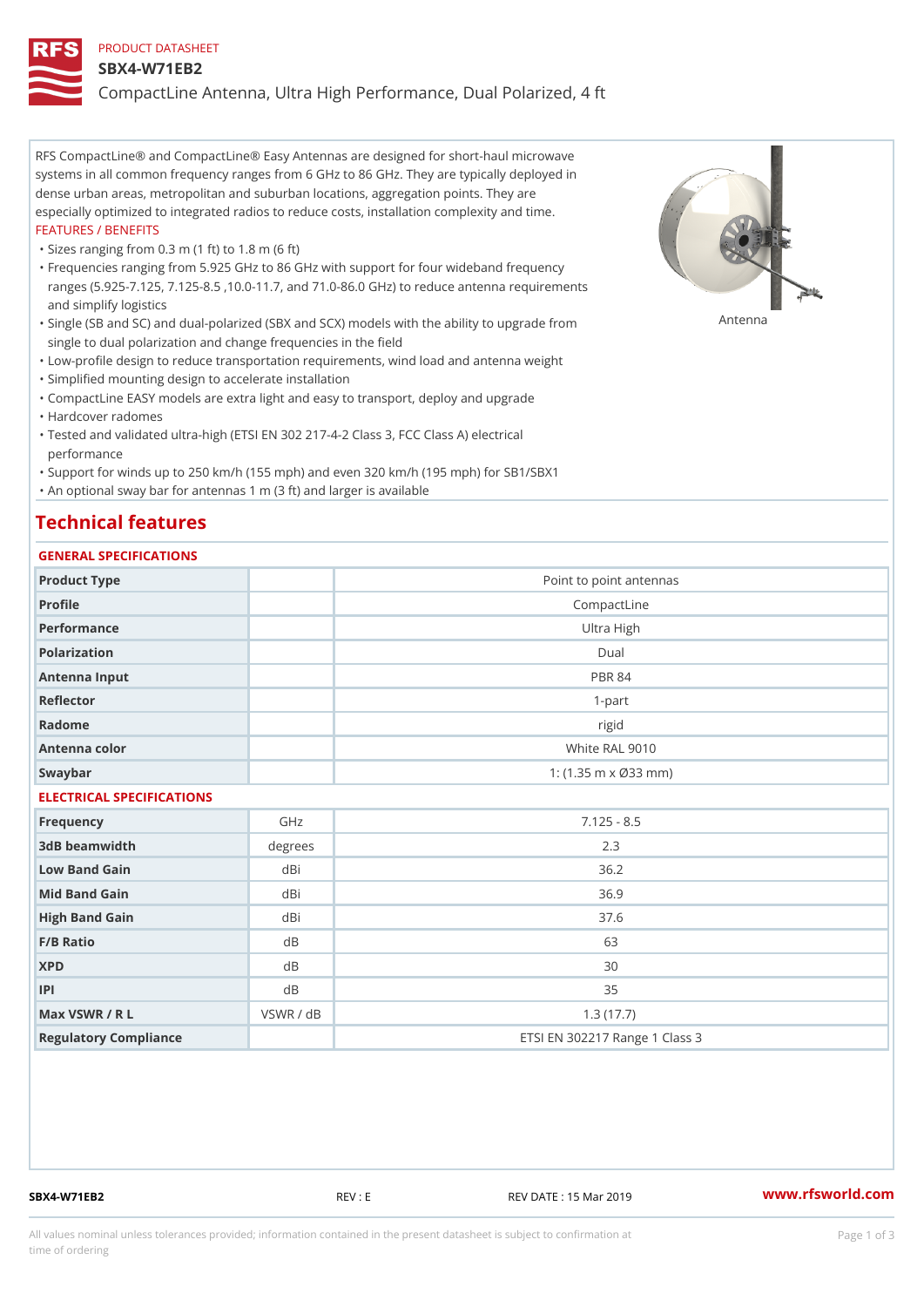#### PRODUCT DATASHEET

#### SBX4-W71EB2

CompactLine Antenna, Ultra High Performance, Dual Polarized, 4 ft

RFS CompactLine® and CompactLine® Easy Antennas are designed for short-haul microwave systems in all common frequency ranges from 6 GHz to 86 GHz. They are typically deployed in dense urban areas, metropolitan and suburban locations, aggregation points. They are especially optimized to integrated radios to reduce costs, installation complexity and time. FEATURES / BENEFITS

"Sizes ranging from 0.3 m (1 ft) to 1.8 m (6 ft)

Frequencies ranging from 5.925 GHz to 86 GHz with support for four wideband frequency " ranges (5.925-7.125, 7.125-8.5 ,10.0-11.7, and 71.0-86.0 GHz) to reduce antenna requirements and simplify logistics

"Single (SB and SC) and dual-polarized (SBX and SCX) models with the abili $\mathsf{f}_\mathsf{V}^{\eta}$ ttenup $\beta$ grade from single to dual polarization and change frequencies in the field

"Low-profile design to reduce transportation requirements, wind load and antenna weight

"Simplified mounting design to accelerate installation

 "CompactLine EASY models are extra light and easy to transport, deploy and upgrade "Hardcover radomes

Tested and validated ultra-high (ETSI EN 302 217-4-2 Class 3, FCC Class A) electrical " performance

 "Support for winds up to 250 km/h (155 mph) and even 320 km/h (195 mph) for SB1/SBX1 "An optional sway bar for antennas 1 m (3 ft) and larger is available

# Technical features

## GENERAL SPECIFICATIONS

| GENERAL SELGIFICATIONS    |           |                                            |  |  |
|---------------------------|-----------|--------------------------------------------|--|--|
| Product Type              |           | Point to point antennas                    |  |  |
| Profile                   |           | CompactLine                                |  |  |
| Performance               |           | Ultra High                                 |  |  |
| Polarization              |           | Dual                                       |  |  |
| Antenna Input             |           | <b>PBR 84</b>                              |  |  |
| Reflector                 |           | $1 - p$ art                                |  |  |
| Radome                    |           | rigid                                      |  |  |
| Antenna color             |           | White RAL 9010                             |  |  |
| Swaybar                   |           | 1: $(1.35 \, m \times \emptyset 33 \, mm)$ |  |  |
| ELECTRICAL SPECIFICATIONS |           |                                            |  |  |
| Frequency                 | GHz       | $7.125 - 8.5$                              |  |  |
| 3dB beamwidth             | degrees   | 2.3                                        |  |  |
| Low Band Gain             | dBi       | 36.2                                       |  |  |
| Mid Band Gain             | dBi       | 36.9                                       |  |  |
| High Band Gain            | dBi       | 37.6                                       |  |  |
| F/B Ratio                 | d B       | 63                                         |  |  |
| <b>XPD</b>                | $d$ B     | 30                                         |  |  |
| P                         | d B       | 35                                         |  |  |
| Max VSWR / R L            | VSWR / dB | 1.3(17.7)                                  |  |  |
| Regulatory Compliance     |           | ETSI EN 302217 Range 1 Class 3             |  |  |

SBX4-W71EB2 REV : E REV DATE : 15 Mar 2019 [www.](https://www.rfsworld.com)rfsworld.com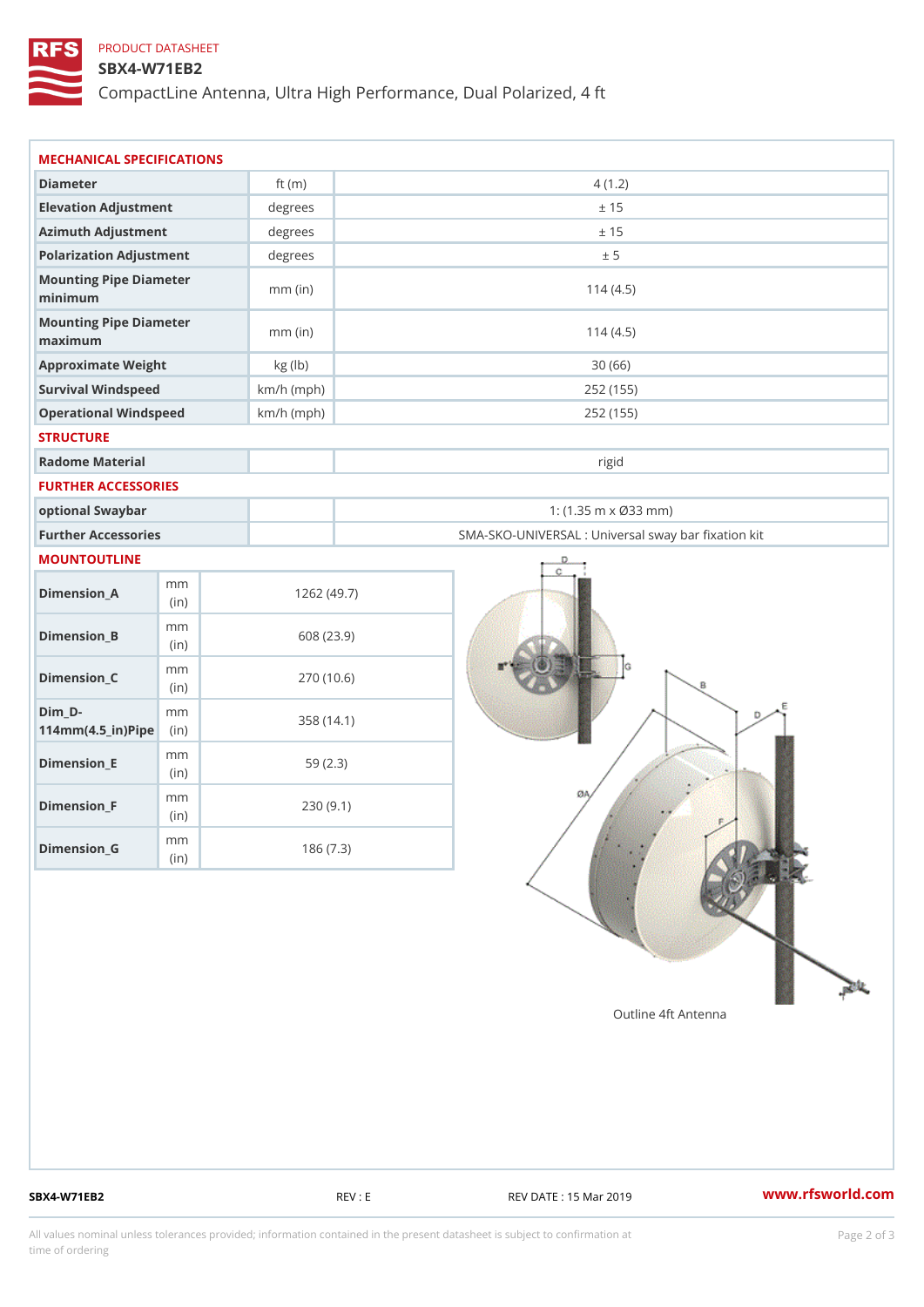## PRODUCT DATASHEET

### SBX4-W71EB2

CompactLine Antenna, Ultra High Performance, Dual Polarized, 4 ft

| MECHANICAL SPECIFICATIONS                                  |              |                                                   |  |
|------------------------------------------------------------|--------------|---------------------------------------------------|--|
| Diameter                                                   | ft $(m)$     | 4(1.2)                                            |  |
| Elevation Adjustment                                       | degrees      | ± 15                                              |  |
| Azimuth Adjustment                                         | degrees      | ± 15                                              |  |
| Polarization Adjustment                                    | degrees      | ± 5                                               |  |
| Mounting Pipe Diameter<br>minimum                          | $mm$ (in)    | 114(4.5)                                          |  |
| Mounting Pipe Diameter<br>maximum                          | $mm$ (in)    | 114(4.5)                                          |  |
| Approximate Weight                                         | kg (lb)      | 30(66)                                            |  |
| Survival Windspeed                                         | $km/h$ (mph) | 252 (155)                                         |  |
| Operational Windspeed                                      | $km/h$ (mph) | 252 (155)                                         |  |
| <b>STRUCTURE</b>                                           |              |                                                   |  |
| Radome Material                                            |              | rigid                                             |  |
| FURTHER ACCESSORIES                                        |              |                                                   |  |
| optional Swaybar                                           |              | 1: $(1.35 m \times 033 m)$                        |  |
| Further Accessories                                        |              | SMA-SKO-UNIVERSAL : Universal sway bar fixation l |  |
| MOUNTOUTLINE                                               |              |                                                   |  |
| m m<br>$Dimension_A$<br>(i n)                              |              | 1262(49.7)                                        |  |
| m m<br>$Dimension_B$<br>(i n)                              |              | 608 (23.9)                                        |  |
| m m<br>$Dimension_C$<br>(in)                               |              | 270 (10.6)                                        |  |
| $Dim_D -$<br>m m<br>$114$ m m $(4.5$ _ ir $)$ $R$ ii p $e$ |              | 358 (14.1)                                        |  |
| m m<br>$Dimension$ = E<br>(in)                             |              | 59(2.3)                                           |  |
| m m<br>$Dimension_F$<br>(in)                               |              | 230(9.1)                                          |  |
| m m<br>$Dimension_G$<br>(in)                               |              | 186(7.3)                                          |  |

SBX4-W71EB2 REV : E REV : REV DATE : 15 Mar 2019 WWW.rfsworld.com

All values nominal unless tolerances provided; information contained in the present datasheet is subject to Pcapgelio an atio time of ordering